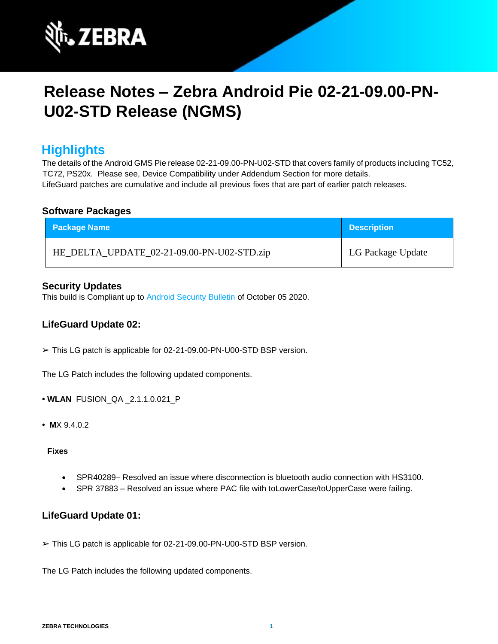

# **Release Notes – Zebra Android Pie 02-21-09.00-PN-U02-STD Release (NGMS)**

### **Highlights**

The details of the Android GMS Pie release 02-21-09.00-PN-U02-STD that covers family of products including TC52, TC72, PS20x. Please see, Device Compatibility under Addendum Section for more details. LifeGuard patches are cumulative and include all previous fixes that are part of earlier patch releases.

#### **Software Packages**

| <b>Package Name</b>                        | <b>Description</b> |
|--------------------------------------------|--------------------|
| HE_DELTA_UPDATE_02-21-09.00-PN-U02-STD.zip | LG Package Update  |

#### **Security Updates**

This build is Compliant up to [Android Security Bulletin](https://source.android.com/security/bulletin/) [of](https://source.android.com/security/bulletin/) October 05 2020.

### **LifeGuard Update 02:**

➢ This LG patch is applicable for 02-21-09.00-PN-U00-STD BSP version.

The LG Patch includes the following updated components.

- **• WLAN** FUSION\_QA \_2.1.1.0.021\_P
- **• M**X 9.4.0.2

#### **Fixes**

- SPR40289– Resolved an issue where disconnection is bluetooth audio connection with HS3100.
- SPR 37883 Resolved an issue where PAC file with toLowerCase/toUpperCase were failing.

### **LifeGuard Update 01:**

➢ This LG patch is applicable for 02-21-09.00-PN-U00-STD BSP version.

The LG Patch includes the following updated components.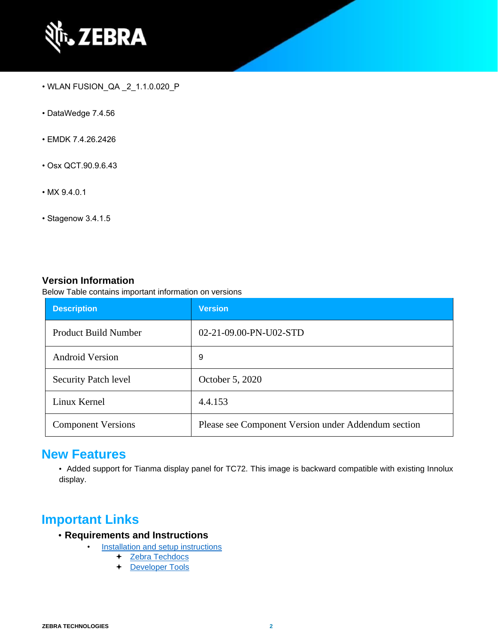

- WLAN FUSION\_QA \_2\_1.1.0.020\_P
- DataWedge 7.4.56
- EMDK 7.4.26.2426
- Osx QCT.90.9.6.43
- MX 9.4.0.1
- Stagenow 3.4.1.5

#### **Version Information**

Below Table contains important information on versions

| <b>Description</b>          | <b>Version</b>                                      |
|-----------------------------|-----------------------------------------------------|
| Product Build Number        | 02-21-09.00-PN-U02-STD                              |
| <b>Android Version</b>      | 9                                                   |
| <b>Security Patch level</b> | October 5, 2020                                     |
| Linux Kernel                | 4.4.153                                             |
| <b>Component Versions</b>   | Please see Component Version under Addendum section |

### **New Features**

• Added support for Tianma display panel for TC72. This image is backward compatible with existing Innolux display.

### **Important Links**

- **Requirements and Instructions** 
	- [Installation and setup instructions](https://www.zebra.com/content/dam/zebra_new_ia/en-us/software/operating-system/helios/pie-os-update-instructions.pdf) 
		- + Zebra Techdocs
		- [Developer Tools](https://developer.zebra.com/)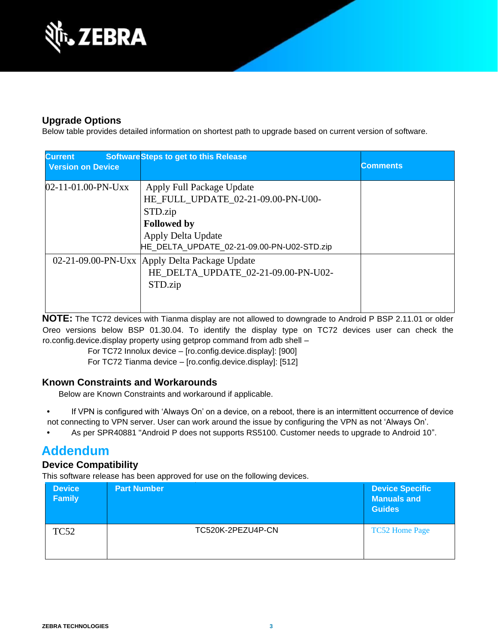

### **Upgrade Options**

Below table provides detailed information on shortest path to upgrade based on current version of software.

| <b>Current</b><br><b>Version on Device</b> | <b>Software Steps to get to this Release</b>                                                                                                                         | <b>Comments</b> |
|--------------------------------------------|----------------------------------------------------------------------------------------------------------------------------------------------------------------------|-----------------|
| $02 - 11 - 01.00 - PN - Uxx$               | Apply Full Package Update<br>HE_FULL_UPDATE_02-21-09.00-PN-U00-<br>STD.zip<br><b>Followed by</b><br>Apply Delta Update<br>HE_DELTA_UPDATE_02-21-09.00-PN-U02-STD.zip |                 |
|                                            | 02-21-09.00-PN-Uxx   Apply Delta Package Update<br>HE_DELTA_UPDATE_02-21-09.00-PN-U02-<br>STD.zip                                                                    |                 |

**NOTE:** The TC72 devices with Tianma display are not allowed to downgrade to Android P BSP 2.11.01 or older Oreo versions below BSP 01.30.04. To identify the display type on TC72 devices user can check the ro.config.device.display property using getprop command from adb shell –

For TC72 Innolux device – [ro.config.device.display]: [900]

For TC72 Tianma device – [ro.config.device.display]: [512]

### **Known Constraints and Workarounds**

Below are Known Constraints and workaround if applicable.

- **•** If VPN is configured with 'Always On' on a device, on a reboot, there is an intermittent occurrence of device not connecting to VPN server. User can work around the issue by configuring the VPN as not 'Always On'.
- **•** As per SPR40881 "Android P does not supports RS5100. Customer needs to upgrade to Android 10".

### **Addendum**

### **Device Compatibility**

This software release has been approved for use on the following devices.

| <b>Device</b><br><b>Family</b> | <b>Part Number</b> | <b>Device Specific</b><br><b>Manuals and</b><br><b>Guides</b> |
|--------------------------------|--------------------|---------------------------------------------------------------|
| <b>TC52</b>                    | TC520K-2PEZU4P-CN  | <b>TC52 Home Page</b>                                         |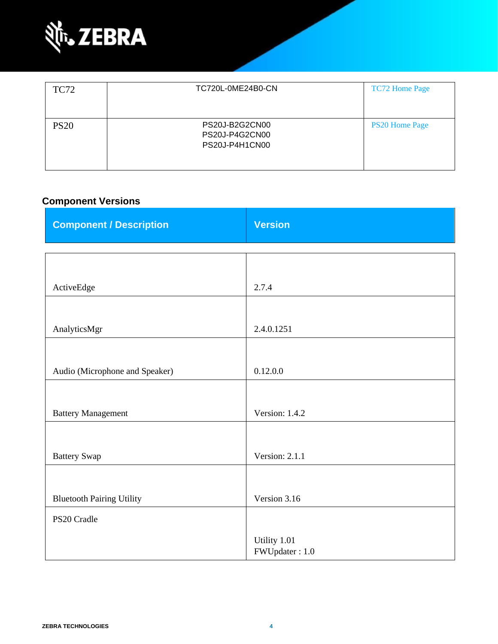

| <b>TC72</b> | TC720L-0ME24B0-CN                                  | <b>TC72 Home Page</b> |
|-------------|----------------------------------------------------|-----------------------|
| <b>PS20</b> | PS20J-B2G2CN00<br>PS20J-P4G2CN00<br>PS20J-P4H1CN00 | <b>PS20 Home Page</b> |

### **Component Versions**

| <b>Component / Description</b>   | <b>Version</b>                 |
|----------------------------------|--------------------------------|
|                                  |                                |
|                                  |                                |
| ActiveEdge                       | 2.7.4                          |
|                                  |                                |
| AnalyticsMgr                     | 2.4.0.1251                     |
|                                  |                                |
| Audio (Microphone and Speaker)   | 0.12.0.0                       |
|                                  |                                |
| <b>Battery Management</b>        | Version: 1.4.2                 |
|                                  |                                |
| <b>Battery Swap</b>              | Version: 2.1.1                 |
|                                  |                                |
| <b>Bluetooth Pairing Utility</b> | Version 3.16                   |
| PS20 Cradle                      |                                |
|                                  | Utility 1.01<br>FWUpdater: 1.0 |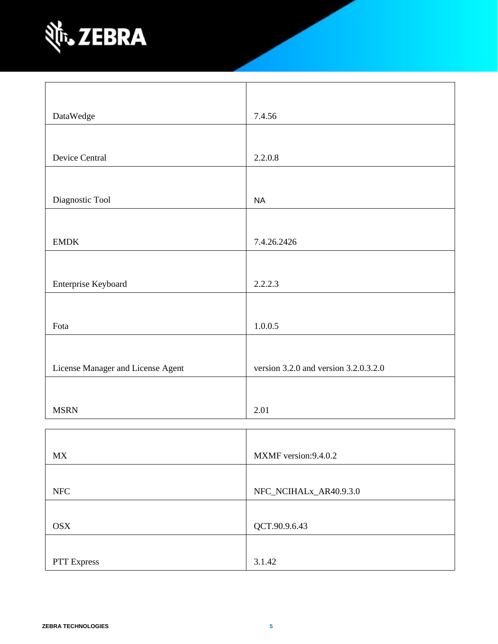

| DataWedge                         | 7.4.56                                    |
|-----------------------------------|-------------------------------------------|
|                                   |                                           |
| Device Central                    | 2.2.0.8                                   |
|                                   |                                           |
| Diagnostic Tool                   | <b>NA</b>                                 |
|                                   |                                           |
| <b>EMDK</b>                       | 7.4.26.2426                               |
|                                   |                                           |
| Enterprise Keyboard               | 2.2.2.3                                   |
|                                   |                                           |
| Fota                              | 1.0.0.5                                   |
|                                   |                                           |
| License Manager and License Agent | version $3.2.0$ and version $3.2.0.3.2.0$ |
|                                   |                                           |
| <b>MSRN</b>                       | 2.01                                      |

| <b>MX</b>   | MXMF version: 9.4.0.2  |
|-------------|------------------------|
|             |                        |
| <b>NFC</b>  | NFC_NCIHALx_AR40.9.3.0 |
|             |                        |
| <b>OSX</b>  | QCT.90.9.6.43          |
|             |                        |
| PTT Express | 3.1.42                 |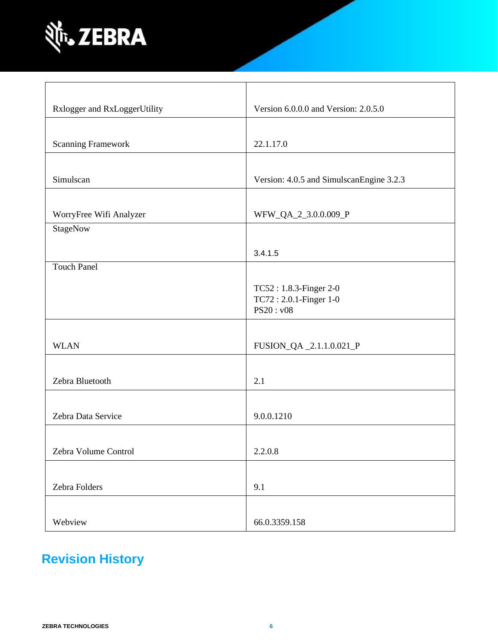

| Rxlogger and RxLoggerUtility | Version 6.0.0.0 and Version: 2.0.5.0     |
|------------------------------|------------------------------------------|
|                              |                                          |
| <b>Scanning Framework</b>    | 22.1.17.0                                |
|                              |                                          |
| Simulscan                    | Version: 4.0.5 and SimulscanEngine 3.2.3 |
|                              |                                          |
| WorryFree Wifi Analyzer      | WFW_QA_2_3.0.0.009_P                     |
| StageNow                     |                                          |
|                              | 3.4.1.5                                  |
| <b>Touch Panel</b>           |                                          |
|                              | TC52: 1.8.3-Finger 2-0                   |
|                              | TC72: 2.0.1-Finger 1-0                   |
|                              | PS20: v08                                |
|                              |                                          |
| <b>WLAN</b>                  | FUSION_QA _2.1.1.0.021_P                 |
|                              |                                          |
| Zebra Bluetooth              | 2.1                                      |
|                              |                                          |
| Zebra Data Service           | 9.0.0.1210                               |
|                              |                                          |
| Zebra Volume Control         | 2.2.0.8                                  |
|                              |                                          |
| Zebra Folders                | 9.1                                      |
|                              |                                          |
| Webview                      | 66.0.3359.158                            |

## **Revision History**